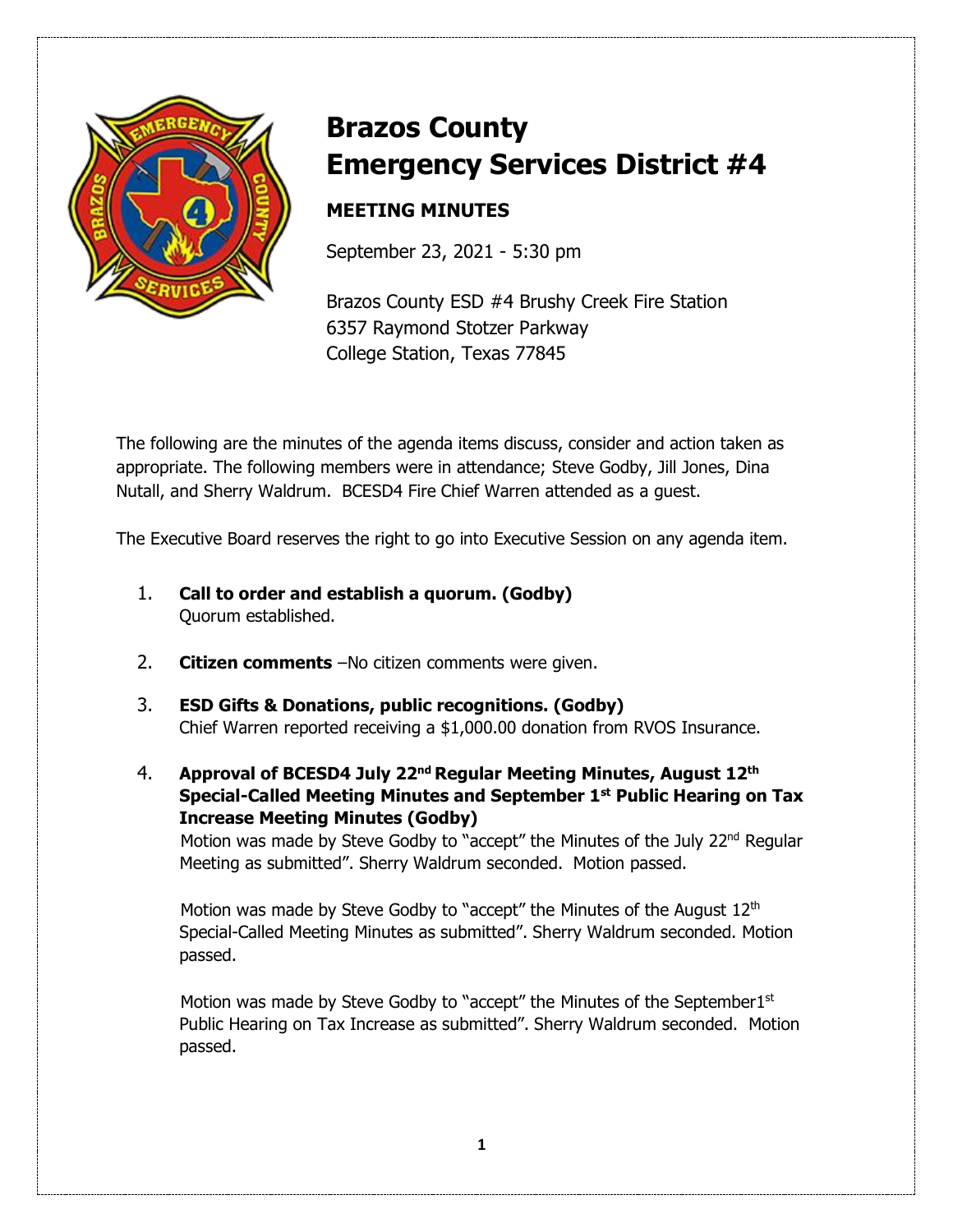

# **Brazos County Emergency Services District #4**

# **MEETING MINUTES**

September 23, 2021 - 5:30 pm

Brazos County ESD #4 Brushy Creek Fire Station 6357 Raymond Stotzer Parkway College Station, Texas 77845

The following are the minutes of the agenda items discuss, consider and action taken as appropriate. The following members were in attendance; Steve Godby, Jill Jones, Dina Nutall, and Sherry Waldrum. BCESD4 Fire Chief Warren attended as a guest.

The Executive Board reserves the right to go into Executive Session on any agenda item.

- 1. **Call to order and establish a quorum. (Godby)** Quorum established.
- 2. **Citizen comments** –No citizen comments were given.
- 3. **ESD Gifts & Donations, public recognitions. (Godby)**  Chief Warren reported receiving a \$1,000.00 donation from RVOS Insurance.
- 4. **Approval of BCESD4 July 22nd Regular Meeting Minutes, August 12th Special-Called Meeting Minutes and September 1st Public Hearing on Tax Increase Meeting Minutes (Godby)**

Motion was made by Steve Godby to "accept" the Minutes of the July 22<sup>nd</sup> Regular Meeting as submitted". Sherry Waldrum seconded. Motion passed.

Motion was made by Steve Godby to "accept" the Minutes of the August 12<sup>th</sup> Special-Called Meeting Minutes as submitted". Sherry Waldrum seconded. Motion passed.

Motion was made by Steve Godby to "accept" the Minutes of the September1st Public Hearing on Tax Increase as submitted". Sherry Waldrum seconded. Motion passed.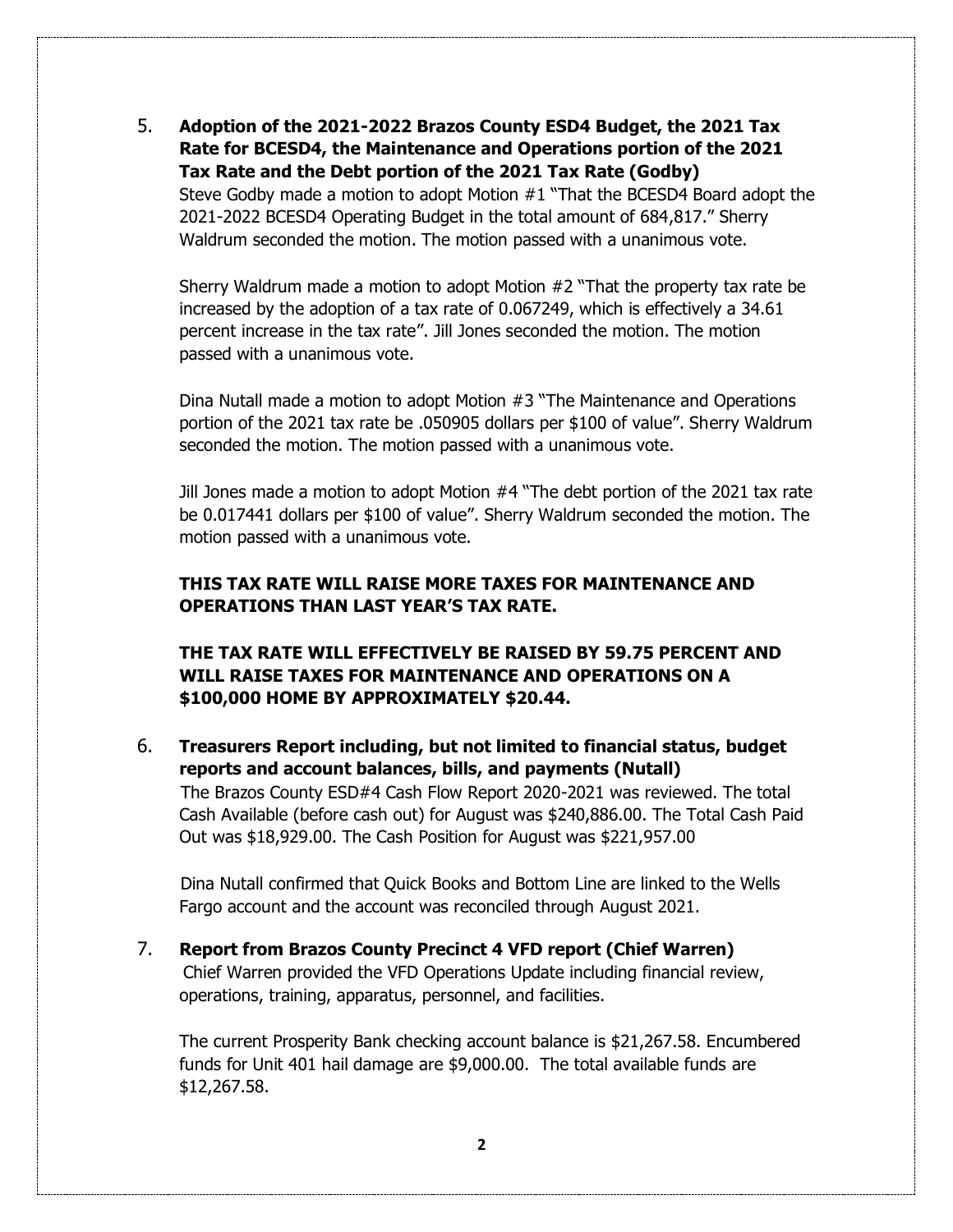5. **Adoption of the 2021-2022 Brazos County ESD4 Budget, the 2021 Tax Rate for BCESD4, the Maintenance and Operations portion of the 2021 Tax Rate and the Debt portion of the 2021 Tax Rate (Godby)** Steve Godby made a motion to adopt Motion #1 "That the BCESD4 Board adopt the

2021-2022 BCESD4 Operating Budget in the total amount of 684,817." Sherry Waldrum seconded the motion. The motion passed with a unanimous vote.

Sherry Waldrum made a motion to adopt Motion #2 "That the property tax rate be increased by the adoption of a tax rate of 0.067249, which is effectively a 34.61 percent increase in the tax rate". Jill Jones seconded the motion. The motion passed with a unanimous vote.

Dina Nutall made a motion to adopt Motion #3 "The Maintenance and Operations portion of the 2021 tax rate be .050905 dollars per \$100 of value". Sherry Waldrum seconded the motion. The motion passed with a unanimous vote.

Jill Jones made a motion to adopt Motion #4 "The debt portion of the 2021 tax rate be 0.017441 dollars per \$100 of value". Sherry Waldrum seconded the motion. The motion passed with a unanimous vote.

## **THIS TAX RATE WILL RAISE MORE TAXES FOR MAINTENANCE AND OPERATIONS THAN LAST YEAR'S TAX RATE.**

# **THE TAX RATE WILL EFFECTIVELY BE RAISED BY 59.75 PERCENT AND WILL RAISE TAXES FOR MAINTENANCE AND OPERATIONS ON A \$100,000 HOME BY APPROXIMATELY \$20.44.**

6. **Treasurers Report including, but not limited to financial status, budget reports and account balances, bills, and payments (Nutall)**  The Brazos County ESD#4 Cash Flow Report 2020-2021 was reviewed. The total Cash Available (before cash out) for August was \$240,886.00. The Total Cash Paid Out was \$18,929.00. The Cash Position for August was \$221,957.00

 Dina Nutall confirmed that Quick Books and Bottom Line are linked to the Wells Fargo account and the account was reconciled through August 2021.

7. **Report from Brazos County Precinct 4 VFD report (Chief Warren)** Chief Warren provided the VFD Operations Update including financial review, operations, training, apparatus, personnel, and facilities.

The current Prosperity Bank checking account balance is \$21,267.58. Encumbered funds for Unit 401 hail damage are \$9,000.00. The total available funds are \$12,267.58.